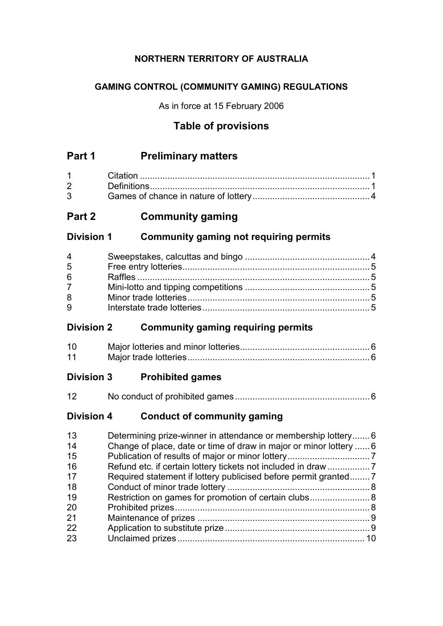# **NORTHERN TERRITORY OF AUSTRALIA**

# **GAMING CONTROL (COMMUNITY GAMING) REGULATIONS**

As in force at 15 February 2006

# **Table of provisions**

# **Part 1 Preliminary matters**

| $1 \quad \Box$                 | Citation |  |
|--------------------------------|----------|--|
| $2 \left( \frac{1}{2} \right)$ |          |  |
| $3^{\circ}$                    |          |  |

# **Part 2 Community gaming**

# **Division 1 Community gaming not requiring permits**

| 4           |  |
|-------------|--|
| 5           |  |
| 6           |  |
| $7^{\circ}$ |  |
| 8           |  |
| 9           |  |

# **Division 2 Community gaming requiring permits**

| 10 |  |
|----|--|
| 11 |  |

# **Division 3 Prohibited games**

| 12 |  |  |
|----|--|--|
|----|--|--|

# **Division 4 Conduct of community gaming**

| 13 | Determining prize-winner in attendance or membership lottery6      |  |
|----|--------------------------------------------------------------------|--|
| 14 | Change of place, date or time of draw in major or minor lottery  6 |  |
| 15 |                                                                    |  |
| 16 |                                                                    |  |
| 17 | Required statement if lottery publicised before permit granted     |  |
| 18 |                                                                    |  |
| 19 | Restriction on games for promotion of certain clubs 8              |  |
| 20 |                                                                    |  |
| 21 |                                                                    |  |
| 22 |                                                                    |  |
| 23 |                                                                    |  |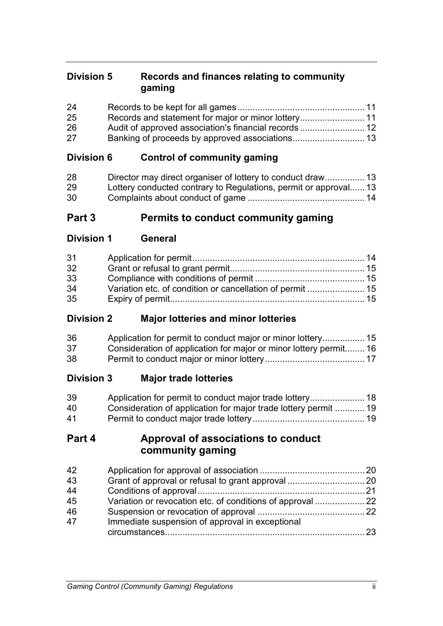# **Division 5 Records and finances relating to community gaming**

| 24 |  |
|----|--|
| 25 |  |
| 26 |  |
| 27 |  |

# **Division 6 Control of community gaming**

| 28 |                                                                  |  |
|----|------------------------------------------------------------------|--|
| 29 | Lottery conducted contrary to Regulations, permit or approval 13 |  |
| 30 |                                                                  |  |

# **Part 3 Permits to conduct community gaming**

**Division 1 General**

| 31 |  |
|----|--|
| 32 |  |
| 33 |  |
| 34 |  |
| 35 |  |

# **Division 2 Major lotteries and minor lotteries**

| 36 |                                                                   |  |
|----|-------------------------------------------------------------------|--|
| 37 | Consideration of application for major or minor lottery permit 16 |  |
| 38 |                                                                   |  |

# **Division 3 Major trade lotteries**

| 39 |                                                                 |  |
|----|-----------------------------------------------------------------|--|
| 40 | Consideration of application for major trade lottery permit  19 |  |
| 41 |                                                                 |  |

# **Part 4 Approval of associations to conduct community gaming**

| 42 |                                                 |      |
|----|-------------------------------------------------|------|
| 43 |                                                 |      |
| 44 |                                                 |      |
| 45 |                                                 |      |
| 46 |                                                 |      |
| 47 | Immediate suspension of approval in exceptional |      |
|    |                                                 | - 23 |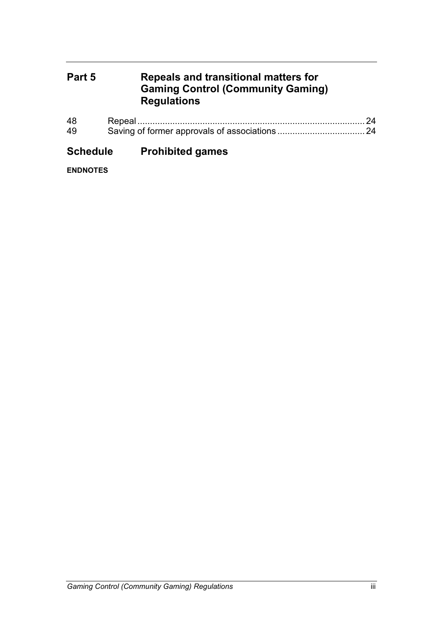# **Part 5 Repeals and transitional matters for Gaming Control (Community Gaming) Regulations**

| 48 |  |
|----|--|
| 49 |  |

# **Schedule Prohibited games**

**ENDNOTES**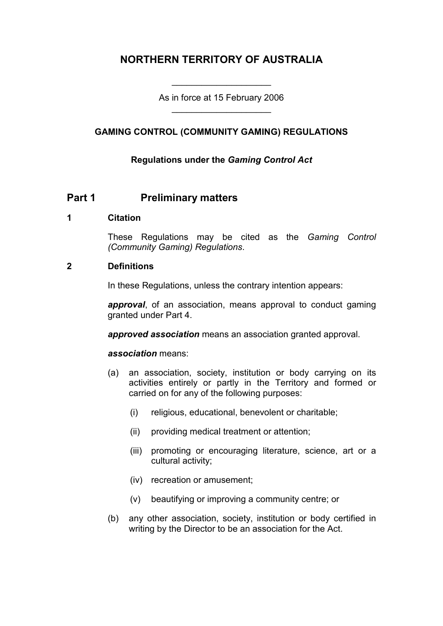# **NORTHERN TERRITORY OF AUSTRALIA**

As in force at 15 February 2006 \_\_\_\_\_\_\_\_\_\_\_\_\_\_\_\_\_\_\_\_

\_\_\_\_\_\_\_\_\_\_\_\_\_\_\_\_\_\_\_\_

## **GAMING CONTROL (COMMUNITY GAMING) REGULATIONS**

## **Regulations under the** *Gaming Control Act*

## **Part 1 Preliminary matters**

#### **1 Citation**

These Regulations may be cited as the *Gaming Control (Community Gaming) Regulations*.

#### **2 Definitions**

In these Regulations, unless the contrary intention appears:

*approval*, of an association, means approval to conduct gaming granted under Part 4.

*approved association* means an association granted approval.

#### *association* means:

- (a) an association, society, institution or body carrying on its activities entirely or partly in the Territory and formed or carried on for any of the following purposes:
	- (i) religious, educational, benevolent or charitable;
	- (ii) providing medical treatment or attention;
	- (iii) promoting or encouraging literature, science, art or a cultural activity;
	- (iv) recreation or amusement;
	- (v) beautifying or improving a community centre; or
- (b) any other association, society, institution or body certified in writing by the Director to be an association for the Act.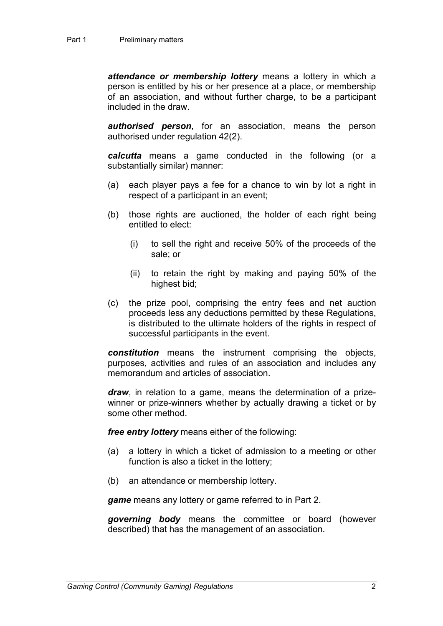*attendance or membership lottery* means a lottery in which a person is entitled by his or her presence at a place, or membership of an association, and without further charge, to be a participant included in the draw.

*authorised person*, for an association, means the person authorised under regulation 42(2).

*calcutta* means a game conducted in the following (or a substantially similar) manner:

- (a) each player pays a fee for a chance to win by lot a right in respect of a participant in an event;
- (b) those rights are auctioned, the holder of each right being entitled to elect:
	- (i) to sell the right and receive 50% of the proceeds of the sale; or
	- (ii) to retain the right by making and paying 50% of the highest bid;
- (c) the prize pool, comprising the entry fees and net auction proceeds less any deductions permitted by these Regulations, is distributed to the ultimate holders of the rights in respect of successful participants in the event.

*constitution* means the instrument comprising the objects, purposes, activities and rules of an association and includes any memorandum and articles of association.

*draw*, in relation to a game, means the determination of a prizewinner or prize-winners whether by actually drawing a ticket or by some other method.

*free entry lottery* means either of the following:

- (a) a lottery in which a ticket of admission to a meeting or other function is also a ticket in the lottery;
- (b) an attendance or membership lottery.

*game* means any lottery or game referred to in Part 2.

*governing body* means the committee or board (however described) that has the management of an association.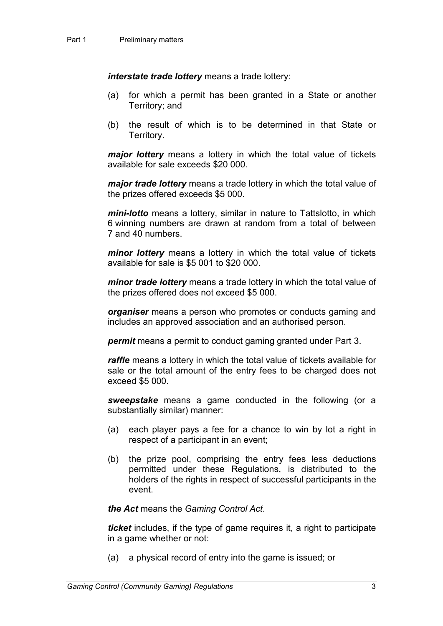*interstate trade lottery* means a trade lottery:

- (a) for which a permit has been granted in a State or another Territory; and
- (b) the result of which is to be determined in that State or Territory.

*major lottery* means a lottery in which the total value of tickets available for sale exceeds \$20 000.

*major trade lottery* means a trade lottery in which the total value of the prizes offered exceeds \$5 000.

*mini-lotto* means a lottery, similar in nature to Tattslotto, in which 6 winning numbers are drawn at random from a total of between 7 and 40 numbers.

*minor lottery* means a lottery in which the total value of tickets available for sale is \$5 001 to \$20 000.

*minor trade lottery* means a trade lottery in which the total value of the prizes offered does not exceed \$5 000.

*organiser* means a person who promotes or conducts gaming and includes an approved association and an authorised person.

*permit* means a permit to conduct gaming granted under Part 3.

*raffle* means a lottery in which the total value of tickets available for sale or the total amount of the entry fees to be charged does not exceed \$5 000.

*sweepstake* means a game conducted in the following (or a substantially similar) manner:

- (a) each player pays a fee for a chance to win by lot a right in respect of a participant in an event;
- (b) the prize pool, comprising the entry fees less deductions permitted under these Regulations, is distributed to the holders of the rights in respect of successful participants in the event.

*the Act* means the *Gaming Control Act*.

*ticket* includes, if the type of game requires it, a right to participate in a game whether or not:

(a) a physical record of entry into the game is issued; or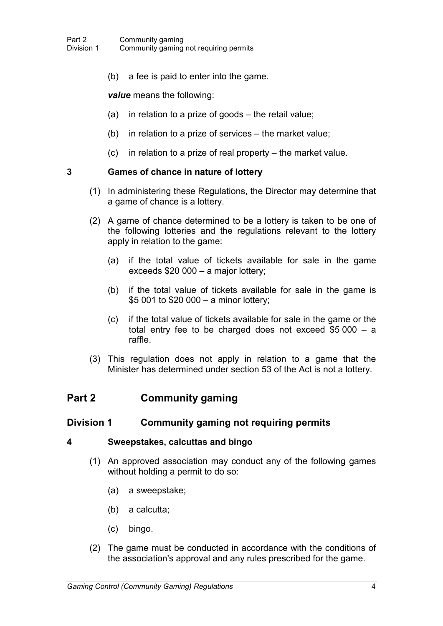(b) a fee is paid to enter into the game.

*value* means the following:

- (a) in relation to a prize of goods the retail value;
- (b) in relation to a prize of services the market value;
- (c) in relation to a prize of real property the market value.

## **3 Games of chance in nature of lottery**

- (1) In administering these Regulations, the Director may determine that a game of chance is a lottery.
- (2) A game of chance determined to be a lottery is taken to be one of the following lotteries and the regulations relevant to the lottery apply in relation to the game:
	- (a) if the total value of tickets available for sale in the game exceeds \$20 000 – a major lottery;
	- (b) if the total value of tickets available for sale in the game is \$5 001 to \$20 000 – a minor lottery;
	- (c) if the total value of tickets available for sale in the game or the total entry fee to be charged does not exceed \$5 000 – a raffle.
- (3) This regulation does not apply in relation to a game that the Minister has determined under section 53 of the Act is not a lottery.

# **Part 2 Community gaming**

## **Division 1 Community gaming not requiring permits**

#### **4 Sweepstakes, calcuttas and bingo**

- (1) An approved association may conduct any of the following games without holding a permit to do so:
	- (a) a sweepstake;
	- (b) a calcutta;
	- (c) bingo.
- (2) The game must be conducted in accordance with the conditions of the association's approval and any rules prescribed for the game.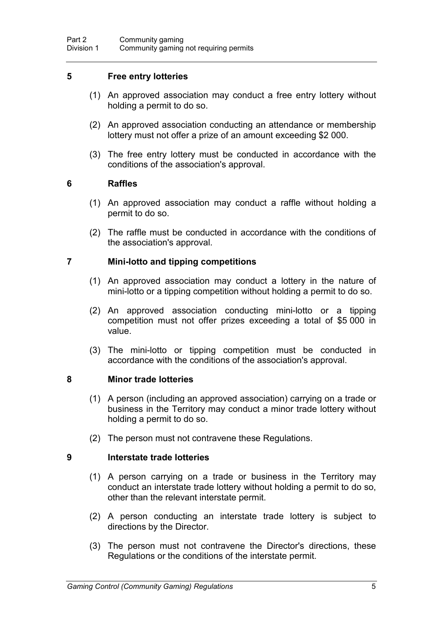## **5 Free entry lotteries**

- (1) An approved association may conduct a free entry lottery without holding a permit to do so.
- (2) An approved association conducting an attendance or membership lottery must not offer a prize of an amount exceeding \$2 000.
- (3) The free entry lottery must be conducted in accordance with the conditions of the association's approval.

## **6 Raffles**

- (1) An approved association may conduct a raffle without holding a permit to do so.
- (2) The raffle must be conducted in accordance with the conditions of the association's approval.

#### **7 Mini-lotto and tipping competitions**

- (1) An approved association may conduct a lottery in the nature of mini-lotto or a tipping competition without holding a permit to do so.
- (2) An approved association conducting mini-lotto or a tipping competition must not offer prizes exceeding a total of \$5 000 in value.
- (3) The mini-lotto or tipping competition must be conducted in accordance with the conditions of the association's approval.

#### **8 Minor trade lotteries**

- (1) A person (including an approved association) carrying on a trade or business in the Territory may conduct a minor trade lottery without holding a permit to do so.
- (2) The person must not contravene these Regulations.

## **9 Interstate trade lotteries**

- (1) A person carrying on a trade or business in the Territory may conduct an interstate trade lottery without holding a permit to do so, other than the relevant interstate permit.
- (2) A person conducting an interstate trade lottery is subject to directions by the Director.
- (3) The person must not contravene the Director's directions, these Regulations or the conditions of the interstate permit.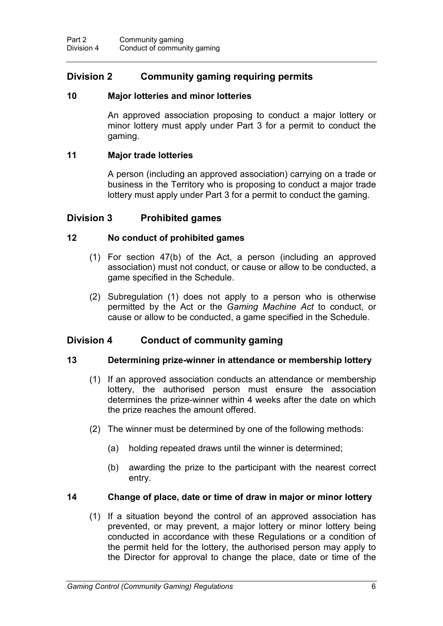# **Division 2 Community gaming requiring permits**

#### **10 Major lotteries and minor lotteries**

An approved association proposing to conduct a major lottery or minor lottery must apply under Part 3 for a permit to conduct the gaming.

#### **11 Major trade lotteries**

A person (including an approved association) carrying on a trade or business in the Territory who is proposing to conduct a major trade lottery must apply under Part 3 for a permit to conduct the gaming.

## **Division 3 Prohibited games**

#### **12 No conduct of prohibited games**

- (1) For section 47(b) of the Act, a person (including an approved association) must not conduct, or cause or allow to be conducted, a game specified in the Schedule.
- (2) Subregulation (1) does not apply to a person who is otherwise permitted by the Act or the *Gaming Machine Act* to conduct, or cause or allow to be conducted, a game specified in the Schedule.

## **Division 4 Conduct of community gaming**

#### **13 Determining prize-winner in attendance or membership lottery**

- (1) If an approved association conducts an attendance or membership lottery, the authorised person must ensure the association determines the prize-winner within 4 weeks after the date on which the prize reaches the amount offered.
- (2) The winner must be determined by one of the following methods:
	- (a) holding repeated draws until the winner is determined;
	- (b) awarding the prize to the participant with the nearest correct entry.

#### **14 Change of place, date or time of draw in major or minor lottery**

(1) If a situation beyond the control of an approved association has prevented, or may prevent, a major lottery or minor lottery being conducted in accordance with these Regulations or a condition of the permit held for the lottery, the authorised person may apply to the Director for approval to change the place, date or time of the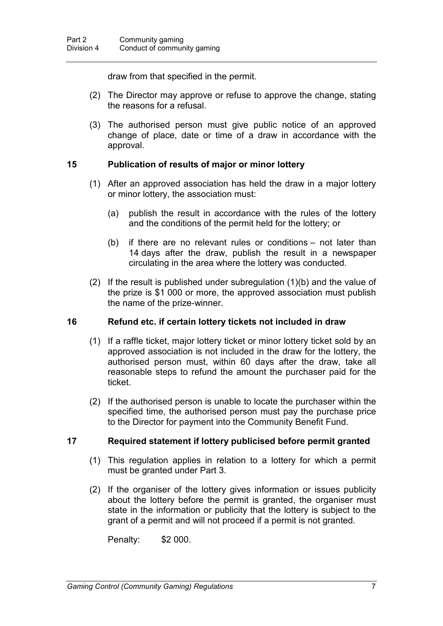draw from that specified in the permit.

- (2) The Director may approve or refuse to approve the change, stating the reasons for a refusal.
- (3) The authorised person must give public notice of an approved change of place, date or time of a draw in accordance with the approval.

## **15 Publication of results of major or minor lottery**

- (1) After an approved association has held the draw in a major lottery or minor lottery, the association must:
	- (a) publish the result in accordance with the rules of the lottery and the conditions of the permit held for the lottery; or
	- (b) if there are no relevant rules or conditions not later than 14 days after the draw, publish the result in a newspaper circulating in the area where the lottery was conducted.
- (2) If the result is published under subregulation (1)(b) and the value of the prize is \$1 000 or more, the approved association must publish the name of the prize-winner.

## **16 Refund etc. if certain lottery tickets not included in draw**

- (1) If a raffle ticket, major lottery ticket or minor lottery ticket sold by an approved association is not included in the draw for the lottery, the authorised person must, within 60 days after the draw, take all reasonable steps to refund the amount the purchaser paid for the ticket.
- (2) If the authorised person is unable to locate the purchaser within the specified time, the authorised person must pay the purchase price to the Director for payment into the Community Benefit Fund.

## **17 Required statement if lottery publicised before permit granted**

- (1) This regulation applies in relation to a lottery for which a permit must be granted under Part 3.
- (2) If the organiser of the lottery gives information or issues publicity about the lottery before the permit is granted, the organiser must state in the information or publicity that the lottery is subject to the grant of a permit and will not proceed if a permit is not granted.

Penalty: \$2 000.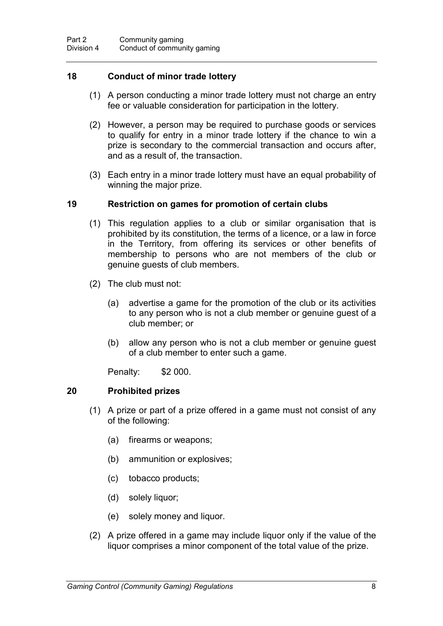## **18 Conduct of minor trade lottery**

- (1) A person conducting a minor trade lottery must not charge an entry fee or valuable consideration for participation in the lottery.
- (2) However, a person may be required to purchase goods or services to qualify for entry in a minor trade lottery if the chance to win a prize is secondary to the commercial transaction and occurs after, and as a result of, the transaction.
- (3) Each entry in a minor trade lottery must have an equal probability of winning the major prize.

## **19 Restriction on games for promotion of certain clubs**

- (1) This regulation applies to a club or similar organisation that is prohibited by its constitution, the terms of a licence, or a law in force in the Territory, from offering its services or other benefits of membership to persons who are not members of the club or genuine guests of club members.
- (2) The club must not:
	- (a) advertise a game for the promotion of the club or its activities to any person who is not a club member or genuine guest of a club member; or
	- (b) allow any person who is not a club member or genuine guest of a club member to enter such a game.

Penalty: \$2 000.

## **20 Prohibited prizes**

- (1) A prize or part of a prize offered in a game must not consist of any of the following:
	- (a) firearms or weapons;
	- (b) ammunition or explosives;
	- (c) tobacco products;
	- (d) solely liquor;
	- (e) solely money and liquor.
- (2) A prize offered in a game may include liquor only if the value of the liquor comprises a minor component of the total value of the prize.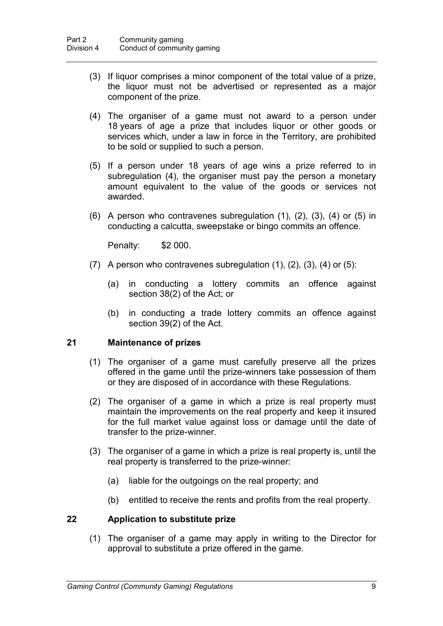- (3) If liquor comprises a minor component of the total value of a prize, the liquor must not be advertised or represented as a major component of the prize.
- (4) The organiser of a game must not award to a person under 18 years of age a prize that includes liquor or other goods or services which, under a law in force in the Territory, are prohibited to be sold or supplied to such a person.
- (5) If a person under 18 years of age wins a prize referred to in subregulation (4), the organiser must pay the person a monetary amount equivalent to the value of the goods or services not awarded.
- (6) A person who contravenes subregulation (1), (2), (3), (4) or (5) in conducting a calcutta, sweepstake or bingo commits an offence.

Penalty: \$2 000.

- (7) A person who contravenes subregulation  $(1)$ ,  $(2)$ ,  $(3)$ ,  $(4)$  or  $(5)$ :
	- (a) in conducting a lottery commits an offence against section 38(2) of the Act; or
	- (b) in conducting a trade lottery commits an offence against section 39(2) of the Act.

#### **21 Maintenance of prizes**

- (1) The organiser of a game must carefully preserve all the prizes offered in the game until the prize-winners take possession of them or they are disposed of in accordance with these Regulations.
- (2) The organiser of a game in which a prize is real property must maintain the improvements on the real property and keep it insured for the full market value against loss or damage until the date of transfer to the prize-winner.
- (3) The organiser of a game in which a prize is real property is, until the real property is transferred to the prize-winner:
	- (a) liable for the outgoings on the real property; and
	- (b) entitled to receive the rents and profits from the real property.

## **22 Application to substitute prize**

(1) The organiser of a game may apply in writing to the Director for approval to substitute a prize offered in the game.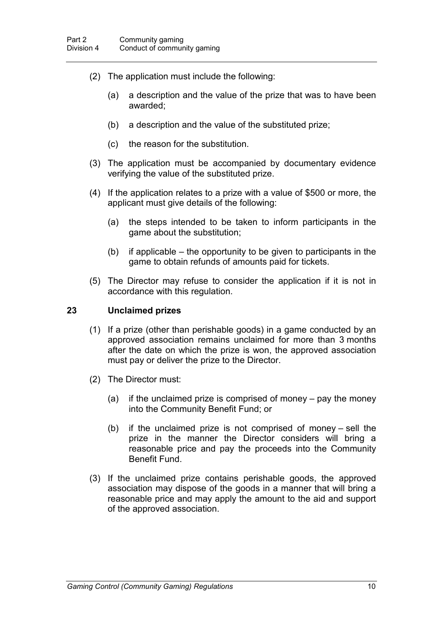- (2) The application must include the following:
	- (a) a description and the value of the prize that was to have been awarded;
	- (b) a description and the value of the substituted prize;
	- (c) the reason for the substitution.
- (3) The application must be accompanied by documentary evidence verifying the value of the substituted prize.
- (4) If the application relates to a prize with a value of \$500 or more, the applicant must give details of the following:
	- (a) the steps intended to be taken to inform participants in the game about the substitution;
	- (b) if applicable the opportunity to be given to participants in the game to obtain refunds of amounts paid for tickets.
- (5) The Director may refuse to consider the application if it is not in accordance with this regulation.

#### **23 Unclaimed prizes**

- (1) If a prize (other than perishable goods) in a game conducted by an approved association remains unclaimed for more than 3 months after the date on which the prize is won, the approved association must pay or deliver the prize to the Director.
- (2) The Director must:
	- (a) if the unclaimed prize is comprised of money pay the money into the Community Benefit Fund; or
	- (b) if the unclaimed prize is not comprised of money sell the prize in the manner the Director considers will bring a reasonable price and pay the proceeds into the Community Benefit Fund.
- (3) If the unclaimed prize contains perishable goods, the approved association may dispose of the goods in a manner that will bring a reasonable price and may apply the amount to the aid and support of the approved association.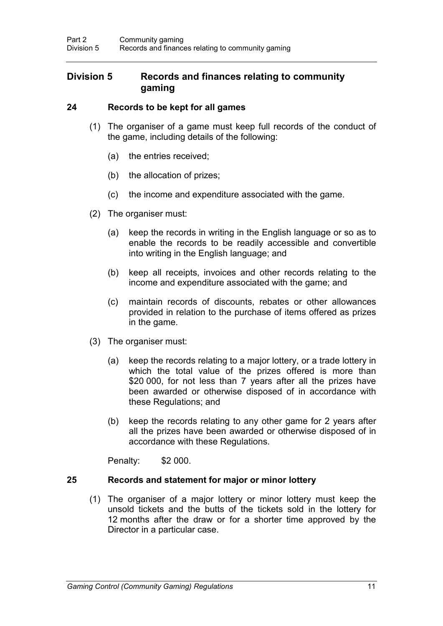## **Division 5 Records and finances relating to community gaming**

## **24 Records to be kept for all games**

- (1) The organiser of a game must keep full records of the conduct of the game, including details of the following:
	- (a) the entries received;
	- (b) the allocation of prizes;
	- (c) the income and expenditure associated with the game.
- (2) The organiser must:
	- (a) keep the records in writing in the English language or so as to enable the records to be readily accessible and convertible into writing in the English language; and
	- (b) keep all receipts, invoices and other records relating to the income and expenditure associated with the game; and
	- (c) maintain records of discounts, rebates or other allowances provided in relation to the purchase of items offered as prizes in the game.
- (3) The organiser must:
	- (a) keep the records relating to a major lottery, or a trade lottery in which the total value of the prizes offered is more than \$20 000, for not less than 7 years after all the prizes have been awarded or otherwise disposed of in accordance with these Regulations; and
	- (b) keep the records relating to any other game for 2 years after all the prizes have been awarded or otherwise disposed of in accordance with these Regulations.

Penalty: \$2 000.

## **25 Records and statement for major or minor lottery**

(1) The organiser of a major lottery or minor lottery must keep the unsold tickets and the butts of the tickets sold in the lottery for 12 months after the draw or for a shorter time approved by the Director in a particular case.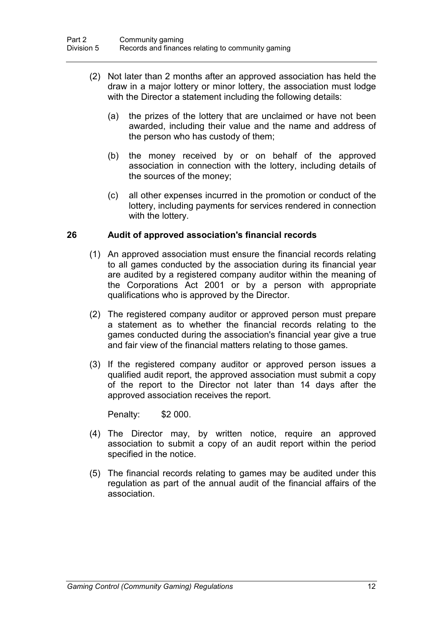- (2) Not later than 2 months after an approved association has held the draw in a major lottery or minor lottery, the association must lodge with the Director a statement including the following details:
	- (a) the prizes of the lottery that are unclaimed or have not been awarded, including their value and the name and address of the person who has custody of them;
	- (b) the money received by or on behalf of the approved association in connection with the lottery, including details of the sources of the money;
	- (c) all other expenses incurred in the promotion or conduct of the lottery, including payments for services rendered in connection with the lottery.

## **26 Audit of approved association's financial records**

- (1) An approved association must ensure the financial records relating to all games conducted by the association during its financial year are audited by a registered company auditor within the meaning of the Corporations Act 2001 or by a person with appropriate qualifications who is approved by the Director.
- (2) The registered company auditor or approved person must prepare a statement as to whether the financial records relating to the games conducted during the association's financial year give a true and fair view of the financial matters relating to those games.
- (3) If the registered company auditor or approved person issues a qualified audit report, the approved association must submit a copy of the report to the Director not later than 14 days after the approved association receives the report.

Penalty: \$2 000.

- (4) The Director may, by written notice, require an approved association to submit a copy of an audit report within the period specified in the notice.
- (5) The financial records relating to games may be audited under this regulation as part of the annual audit of the financial affairs of the association.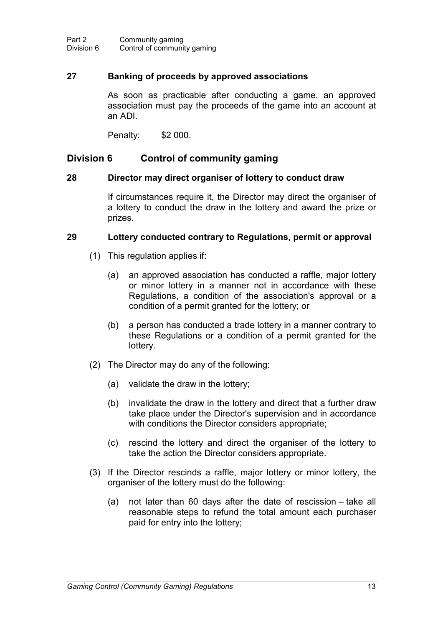## **27 Banking of proceeds by approved associations**

As soon as practicable after conducting a game, an approved association must pay the proceeds of the game into an account at an ADI.

Penalty: \$2 000.

## **Division 6 Control of community gaming**

#### **28 Director may direct organiser of lottery to conduct draw**

If circumstances require it, the Director may direct the organiser of a lottery to conduct the draw in the lottery and award the prize or prizes.

#### **29 Lottery conducted contrary to Regulations, permit or approval**

- (1) This regulation applies if:
	- (a) an approved association has conducted a raffle, major lottery or minor lottery in a manner not in accordance with these Regulations, a condition of the association's approval or a condition of a permit granted for the lottery; or
	- (b) a person has conducted a trade lottery in a manner contrary to these Regulations or a condition of a permit granted for the lottery.
- (2) The Director may do any of the following:
	- (a) validate the draw in the lottery;
	- (b) invalidate the draw in the lottery and direct that a further draw take place under the Director's supervision and in accordance with conditions the Director considers appropriate;
	- (c) rescind the lottery and direct the organiser of the lottery to take the action the Director considers appropriate.
- (3) If the Director rescinds a raffle, major lottery or minor lottery, the organiser of the lottery must do the following:
	- (a) not later than 60 days after the date of rescission take all reasonable steps to refund the total amount each purchaser paid for entry into the lottery;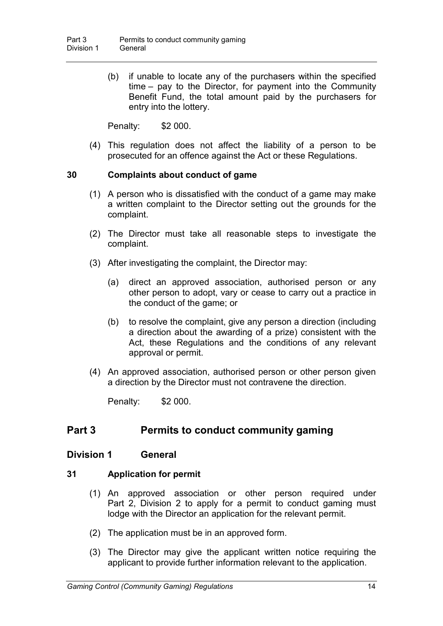(b) if unable to locate any of the purchasers within the specified time – pay to the Director, for payment into the Community Benefit Fund, the total amount paid by the purchasers for entry into the lottery.

Penalty: \$2 000.

(4) This regulation does not affect the liability of a person to be prosecuted for an offence against the Act or these Regulations.

## **30 Complaints about conduct of game**

- (1) A person who is dissatisfied with the conduct of a game may make a written complaint to the Director setting out the grounds for the complaint.
- (2) The Director must take all reasonable steps to investigate the complaint.
- (3) After investigating the complaint, the Director may:
	- (a) direct an approved association, authorised person or any other person to adopt, vary or cease to carry out a practice in the conduct of the game; or
	- (b) to resolve the complaint, give any person a direction (including a direction about the awarding of a prize) consistent with the Act, these Regulations and the conditions of any relevant approval or permit.
- (4) An approved association, authorised person or other person given a direction by the Director must not contravene the direction.

Penalty: \$2 000.

# **Part 3 Permits to conduct community gaming**

## **Division 1 General**

## **31 Application for permit**

- (1) An approved association or other person required under Part 2, Division 2 to apply for a permit to conduct gaming must lodge with the Director an application for the relevant permit.
- (2) The application must be in an approved form.
- (3) The Director may give the applicant written notice requiring the applicant to provide further information relevant to the application.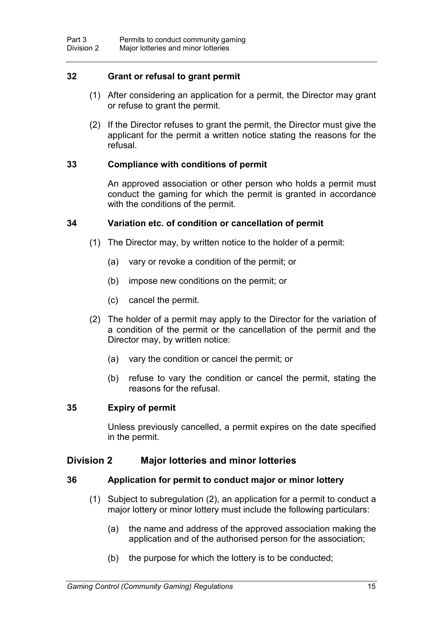## **32 Grant or refusal to grant permit**

- (1) After considering an application for a permit, the Director may grant or refuse to grant the permit.
- (2) If the Director refuses to grant the permit, the Director must give the applicant for the permit a written notice stating the reasons for the refusal.

## **33 Compliance with conditions of permit**

An approved association or other person who holds a permit must conduct the gaming for which the permit is granted in accordance with the conditions of the permit.

#### **34 Variation etc. of condition or cancellation of permit**

- (1) The Director may, by written notice to the holder of a permit:
	- (a) vary or revoke a condition of the permit; or
	- (b) impose new conditions on the permit; or
	- (c) cancel the permit.
- (2) The holder of a permit may apply to the Director for the variation of a condition of the permit or the cancellation of the permit and the Director may, by written notice:
	- (a) vary the condition or cancel the permit; or
	- (b) refuse to vary the condition or cancel the permit, stating the reasons for the refusal.

## **35 Expiry of permit**

Unless previously cancelled, a permit expires on the date specified in the permit.

## **Division 2 Major lotteries and minor lotteries**

#### **36 Application for permit to conduct major or minor lottery**

- (1) Subject to subregulation (2), an application for a permit to conduct a major lottery or minor lottery must include the following particulars:
	- (a) the name and address of the approved association making the application and of the authorised person for the association;
	- (b) the purpose for which the lottery is to be conducted;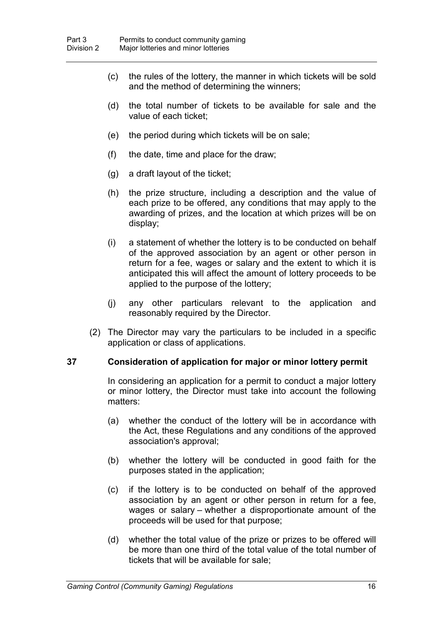- (c) the rules of the lottery, the manner in which tickets will be sold and the method of determining the winners;
- (d) the total number of tickets to be available for sale and the value of each ticket;
- (e) the period during which tickets will be on sale;
- (f) the date, time and place for the draw;
- (g) a draft layout of the ticket;
- (h) the prize structure, including a description and the value of each prize to be offered, any conditions that may apply to the awarding of prizes, and the location at which prizes will be on display;
- (i) a statement of whether the lottery is to be conducted on behalf of the approved association by an agent or other person in return for a fee, wages or salary and the extent to which it is anticipated this will affect the amount of lottery proceeds to be applied to the purpose of the lottery;
- (j) any other particulars relevant to the application and reasonably required by the Director.
- (2) The Director may vary the particulars to be included in a specific application or class of applications.

#### **37 Consideration of application for major or minor lottery permit**

In considering an application for a permit to conduct a major lottery or minor lottery, the Director must take into account the following matters:

- (a) whether the conduct of the lottery will be in accordance with the Act, these Regulations and any conditions of the approved association's approval;
- (b) whether the lottery will be conducted in good faith for the purposes stated in the application;
- (c) if the lottery is to be conducted on behalf of the approved association by an agent or other person in return for a fee, wages or salary – whether a disproportionate amount of the proceeds will be used for that purpose;
- (d) whether the total value of the prize or prizes to be offered will be more than one third of the total value of the total number of tickets that will be available for sale;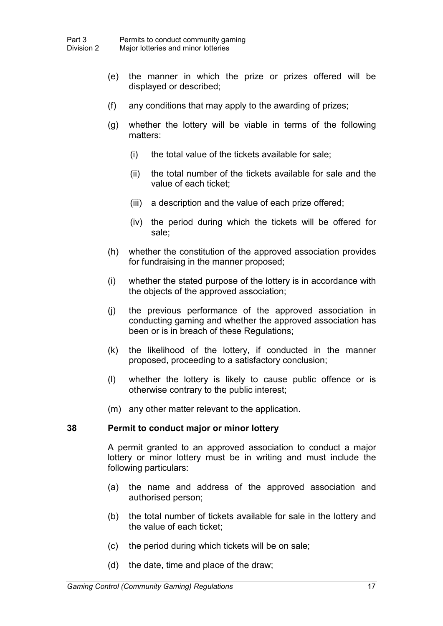- (e) the manner in which the prize or prizes offered will be displayed or described;
- (f) any conditions that may apply to the awarding of prizes;
- (g) whether the lottery will be viable in terms of the following matters:
	- (i) the total value of the tickets available for sale;
	- (ii) the total number of the tickets available for sale and the value of each ticket;
	- (iii) a description and the value of each prize offered;
	- (iv) the period during which the tickets will be offered for sale;
- (h) whether the constitution of the approved association provides for fundraising in the manner proposed;
- (i) whether the stated purpose of the lottery is in accordance with the objects of the approved association;
- (j) the previous performance of the approved association in conducting gaming and whether the approved association has been or is in breach of these Regulations;
- (k) the likelihood of the lottery, if conducted in the manner proposed, proceeding to a satisfactory conclusion;
- (l) whether the lottery is likely to cause public offence or is otherwise contrary to the public interest;
- (m) any other matter relevant to the application.

## **38 Permit to conduct major or minor lottery**

A permit granted to an approved association to conduct a major lottery or minor lottery must be in writing and must include the following particulars:

- (a) the name and address of the approved association and authorised person;
- (b) the total number of tickets available for sale in the lottery and the value of each ticket;
- (c) the period during which tickets will be on sale;
- (d) the date, time and place of the draw;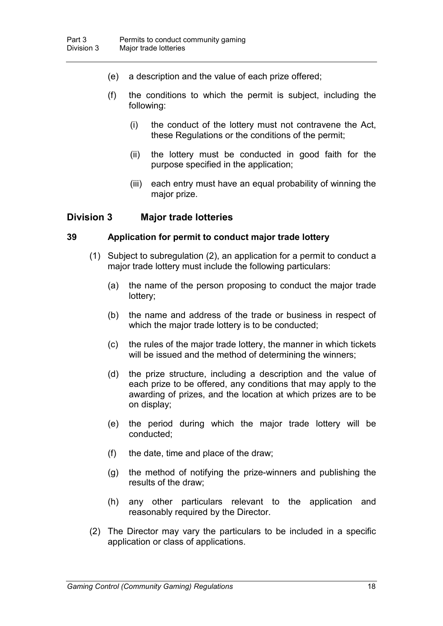- (e) a description and the value of each prize offered;
- (f) the conditions to which the permit is subject, including the following:
	- (i) the conduct of the lottery must not contravene the Act, these Regulations or the conditions of the permit;
	- (ii) the lottery must be conducted in good faith for the purpose specified in the application;
	- (iii) each entry must have an equal probability of winning the major prize.

## **Division 3 Major trade lotteries**

## **39 Application for permit to conduct major trade lottery**

- (1) Subject to subregulation (2), an application for a permit to conduct a major trade lottery must include the following particulars:
	- (a) the name of the person proposing to conduct the major trade lottery;
	- (b) the name and address of the trade or business in respect of which the major trade lottery is to be conducted;
	- (c) the rules of the major trade lottery, the manner in which tickets will be issued and the method of determining the winners:
	- (d) the prize structure, including a description and the value of each prize to be offered, any conditions that may apply to the awarding of prizes, and the location at which prizes are to be on display;
	- (e) the period during which the major trade lottery will be conducted;
	- (f) the date, time and place of the draw;
	- (g) the method of notifying the prize-winners and publishing the results of the draw;
	- (h) any other particulars relevant to the application and reasonably required by the Director.
- (2) The Director may vary the particulars to be included in a specific application or class of applications.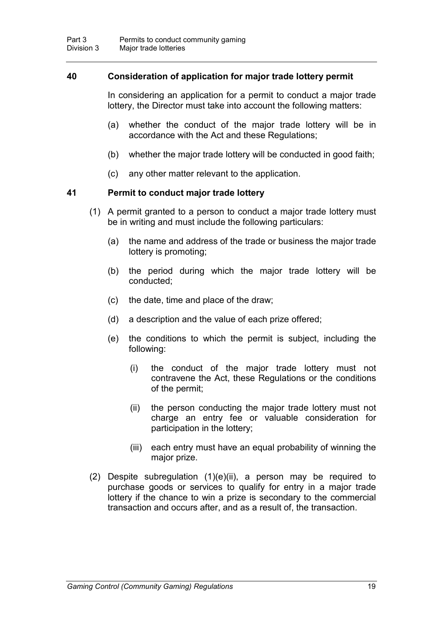## **40 Consideration of application for major trade lottery permit**

In considering an application for a permit to conduct a major trade lottery, the Director must take into account the following matters:

- (a) whether the conduct of the major trade lottery will be in accordance with the Act and these Regulations;
- (b) whether the major trade lottery will be conducted in good faith;
- (c) any other matter relevant to the application.

## **41 Permit to conduct major trade lottery**

- (1) A permit granted to a person to conduct a major trade lottery must be in writing and must include the following particulars:
	- (a) the name and address of the trade or business the major trade lottery is promoting;
	- (b) the period during which the major trade lottery will be conducted;
	- (c) the date, time and place of the draw;
	- (d) a description and the value of each prize offered;
	- (e) the conditions to which the permit is subject, including the following:
		- (i) the conduct of the major trade lottery must not contravene the Act, these Regulations or the conditions of the permit;
		- (ii) the person conducting the major trade lottery must not charge an entry fee or valuable consideration for participation in the lottery;
		- (iii) each entry must have an equal probability of winning the major prize.
- (2) Despite subregulation (1)(e)(ii), a person may be required to purchase goods or services to qualify for entry in a major trade lottery if the chance to win a prize is secondary to the commercial transaction and occurs after, and as a result of, the transaction.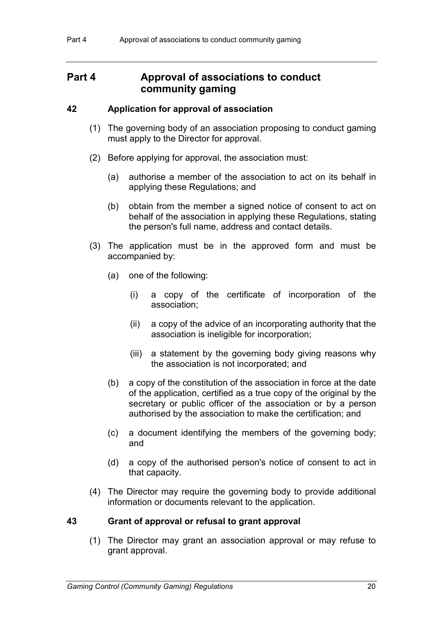# **Part 4 Approval of associations to conduct community gaming**

## **42 Application for approval of association**

- (1) The governing body of an association proposing to conduct gaming must apply to the Director for approval.
- (2) Before applying for approval, the association must:
	- (a) authorise a member of the association to act on its behalf in applying these Regulations; and
	- (b) obtain from the member a signed notice of consent to act on behalf of the association in applying these Regulations, stating the person's full name, address and contact details.
- (3) The application must be in the approved form and must be accompanied by:
	- (a) one of the following:
		- (i) a copy of the certificate of incorporation of the association;
		- (ii) a copy of the advice of an incorporating authority that the association is ineligible for incorporation;
		- (iii) a statement by the governing body giving reasons why the association is not incorporated; and
	- (b) a copy of the constitution of the association in force at the date of the application, certified as a true copy of the original by the secretary or public officer of the association or by a person authorised by the association to make the certification; and
	- (c) a document identifying the members of the governing body; and
	- (d) a copy of the authorised person's notice of consent to act in that capacity.
- (4) The Director may require the governing body to provide additional information or documents relevant to the application.

## **43 Grant of approval or refusal to grant approval**

(1) The Director may grant an association approval or may refuse to grant approval.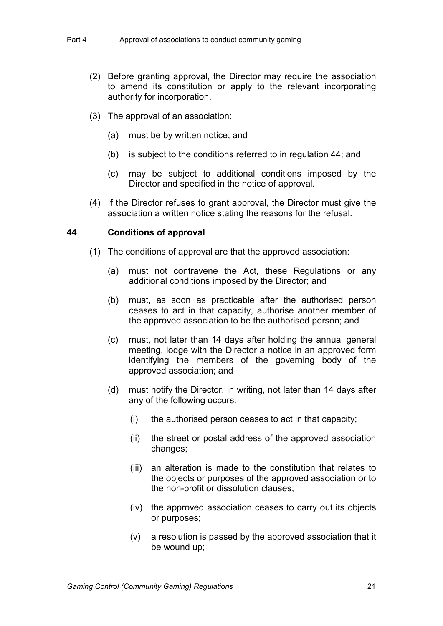- (2) Before granting approval, the Director may require the association to amend its constitution or apply to the relevant incorporating authority for incorporation.
- (3) The approval of an association:
	- (a) must be by written notice; and
	- (b) is subject to the conditions referred to in regulation 44; and
	- (c) may be subject to additional conditions imposed by the Director and specified in the notice of approval.
- (4) If the Director refuses to grant approval, the Director must give the association a written notice stating the reasons for the refusal.

#### **44 Conditions of approval**

- (1) The conditions of approval are that the approved association:
	- (a) must not contravene the Act, these Regulations or any additional conditions imposed by the Director; and
	- (b) must, as soon as practicable after the authorised person ceases to act in that capacity, authorise another member of the approved association to be the authorised person; and
	- (c) must, not later than 14 days after holding the annual general meeting, lodge with the Director a notice in an approved form identifying the members of the governing body of the approved association; and
	- (d) must notify the Director, in writing, not later than 14 days after any of the following occurs:
		- (i) the authorised person ceases to act in that capacity;
		- (ii) the street or postal address of the approved association changes;
		- (iii) an alteration is made to the constitution that relates to the objects or purposes of the approved association or to the non-profit or dissolution clauses;
		- (iv) the approved association ceases to carry out its objects or purposes;
		- (v) a resolution is passed by the approved association that it be wound up;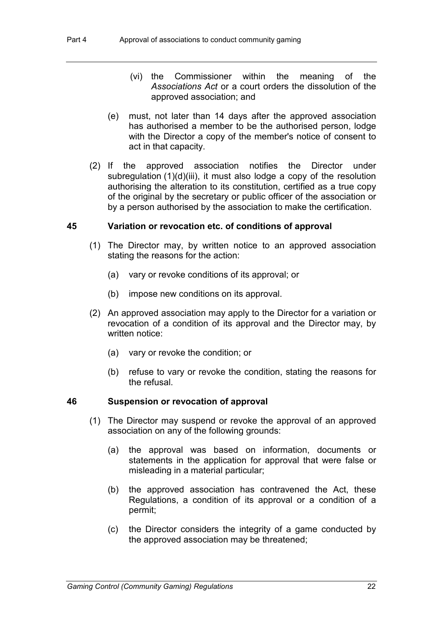- (vi) the Commissioner within the meaning of the *Associations Act* or a court orders the dissolution of the approved association; and
- (e) must, not later than 14 days after the approved association has authorised a member to be the authorised person, lodge with the Director a copy of the member's notice of consent to act in that capacity.
- (2) If the approved association notifies the Director under subregulation (1)(d)(iii), it must also lodge a copy of the resolution authorising the alteration to its constitution, certified as a true copy of the original by the secretary or public officer of the association or by a person authorised by the association to make the certification.

#### **45 Variation or revocation etc. of conditions of approval**

- (1) The Director may, by written notice to an approved association stating the reasons for the action:
	- (a) vary or revoke conditions of its approval; or
	- (b) impose new conditions on its approval.
- (2) An approved association may apply to the Director for a variation or revocation of a condition of its approval and the Director may, by written notice:
	- (a) vary or revoke the condition; or
	- (b) refuse to vary or revoke the condition, stating the reasons for the refusal.

#### **46 Suspension or revocation of approval**

- (1) The Director may suspend or revoke the approval of an approved association on any of the following grounds:
	- (a) the approval was based on information, documents or statements in the application for approval that were false or misleading in a material particular;
	- (b) the approved association has contravened the Act, these Regulations, a condition of its approval or a condition of a permit;
	- (c) the Director considers the integrity of a game conducted by the approved association may be threatened;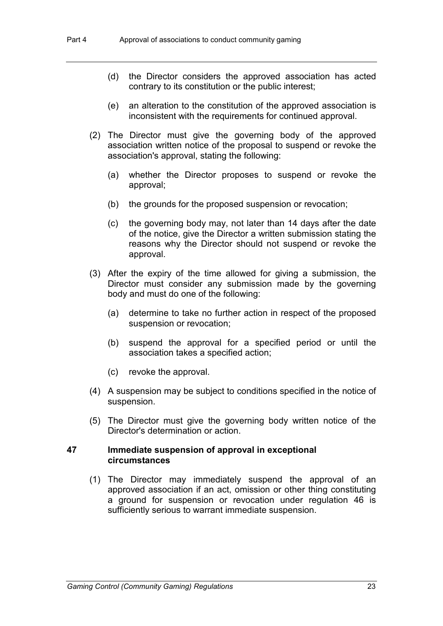- (d) the Director considers the approved association has acted contrary to its constitution or the public interest;
- (e) an alteration to the constitution of the approved association is inconsistent with the requirements for continued approval.
- (2) The Director must give the governing body of the approved association written notice of the proposal to suspend or revoke the association's approval, stating the following:
	- (a) whether the Director proposes to suspend or revoke the approval;
	- (b) the grounds for the proposed suspension or revocation;
	- (c) the governing body may, not later than 14 days after the date of the notice, give the Director a written submission stating the reasons why the Director should not suspend or revoke the approval.
- (3) After the expiry of the time allowed for giving a submission, the Director must consider any submission made by the governing body and must do one of the following:
	- (a) determine to take no further action in respect of the proposed suspension or revocation;
	- (b) suspend the approval for a specified period or until the association takes a specified action;
	- (c) revoke the approval.
- (4) A suspension may be subject to conditions specified in the notice of suspension.
- (5) The Director must give the governing body written notice of the Director's determination or action.

#### **47 Immediate suspension of approval in exceptional circumstances**

(1) The Director may immediately suspend the approval of an approved association if an act, omission or other thing constituting a ground for suspension or revocation under regulation 46 is sufficiently serious to warrant immediate suspension.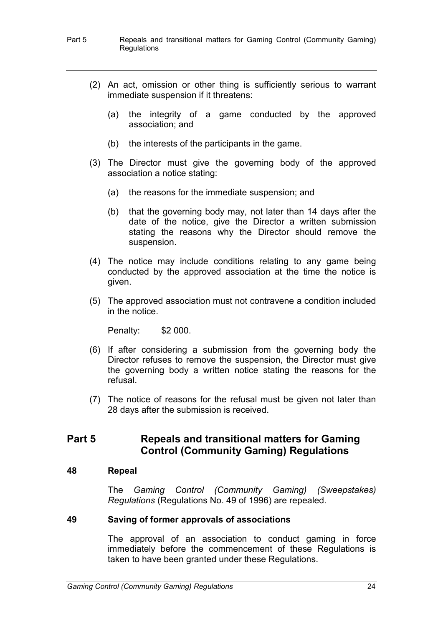#### Part 5 Repeals and transitional matters for Gaming Control (Community Gaming) **Regulations**

- (2) An act, omission or other thing is sufficiently serious to warrant immediate suspension if it threatens:
	- (a) the integrity of a game conducted by the approved association; and
	- (b) the interests of the participants in the game.
- (3) The Director must give the governing body of the approved association a notice stating:
	- (a) the reasons for the immediate suspension; and
	- (b) that the governing body may, not later than 14 days after the date of the notice, give the Director a written submission stating the reasons why the Director should remove the suspension.
- (4) The notice may include conditions relating to any game being conducted by the approved association at the time the notice is given.
- (5) The approved association must not contravene a condition included in the notice.

Penalty: \$2 000.

- (6) If after considering a submission from the governing body the Director refuses to remove the suspension, the Director must give the governing body a written notice stating the reasons for the refusal.
- (7) The notice of reasons for the refusal must be given not later than 28 days after the submission is received.

# **Part 5 Repeals and transitional matters for Gaming Control (Community Gaming) Regulations**

#### **48 Repeal**

The *Gaming Control (Community Gaming) (Sweepstakes) Regulations* (Regulations No. 49 of 1996) are repealed.

## **49 Saving of former approvals of associations**

The approval of an association to conduct gaming in force immediately before the commencement of these Regulations is taken to have been granted under these Regulations.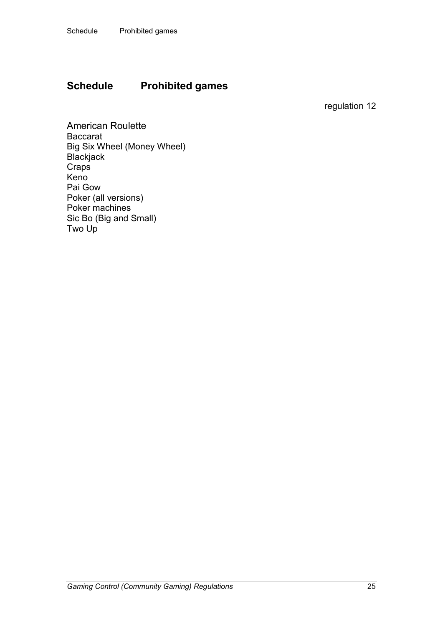# **Schedule Prohibited games**

regulation 12

American Roulette Baccarat Big Six Wheel (Money Wheel) Blackjack **Craps** Keno Pai Gow Poker (all versions) Poker machines Sic Bo (Big and Small) Two Up